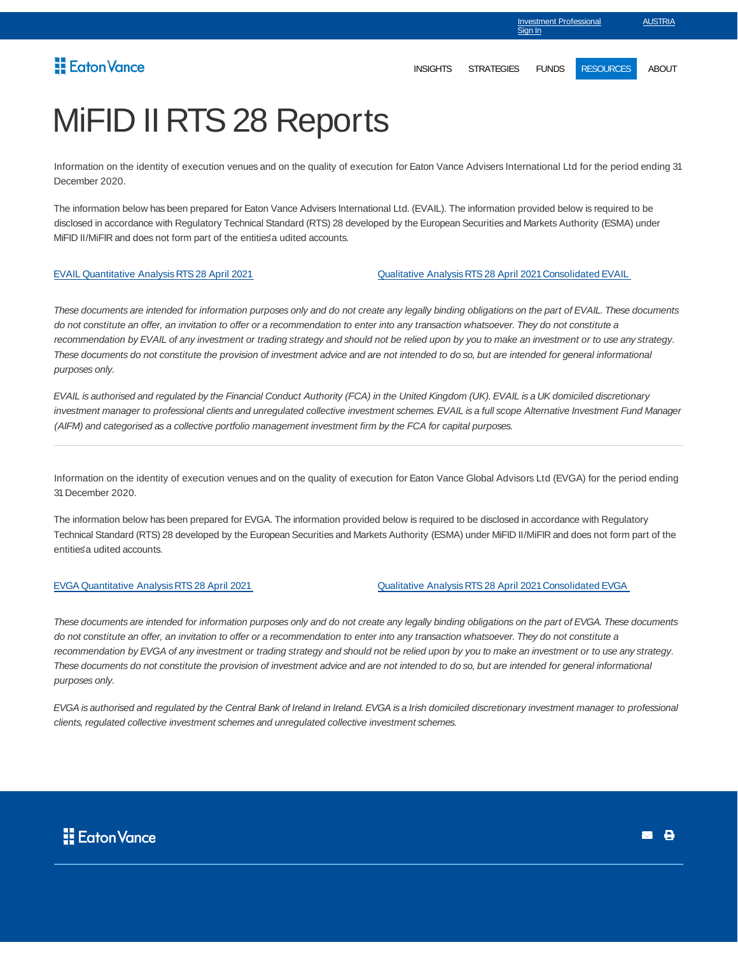## Eaton Vance

Sian In

Investment Professional

**AUSTRIA** 

# MiFID II RTS 28 Reports

Information on the identity of execution venues and on the quality of execution for Eaton Vance Advisers International Ltd for the period ending 31 December 2020.

The information below has been prepared for Eaton Vance Advisers International Ltd. (EVAIL). The information provided below is required to be disclosed in accordance with Regulatory Technical Standard (RTS) 28 developed by the European Securities and Markets Authority (ESMA) under MiFID II/MiFIR and does not form part of the entities' a udited accounts.

EVAIL Quantitative Analysis RTS 28 April 2021 Qualitative Analysis RTS 28 April 2021 Consolidated EVAIL

These documents are intended for information purposes only and do not create any legally binding obligations on the part of EVAIL. These documents do not constitute an offer, an invitation to offer or a recommendation to enter into any transaction whatsoever. They do not constitute a recommendation by EVAIL of any investment or trading strategy and should not be relied upon by you to make an investment or to use any strategy. These documents do not constitute the provision of investment advice and are not intended to do so, but are intended for general informational purposes only.

EVAIL is authorised and regulated by the Financial Conduct Authority (FCA) in the United Kingdom (UK). EVAIL is a UK domiciled discretionary investment manager to professional clients and unregulated collective investment schemes. EVAIL is a full scope Alternative Investment Fund Manager (AIFM) and categorised as a collective portfolio management investment firm by the FCA for capital purposes.

Information on the identity of execution venues and on the quality of execution for Eaton Vance Global Advisors Ltd (EVGA) for the period ending 31 December 2020.

The information below has been prepared for EVGA. The information provided below is required to be disclosed in accordance with Regulatory Technical Standard (RTS) 28 developed by the European Securities and Markets Authority (ESMA) under MiFID II/MiFIR and does not form part of the entities' a udited accounts.

EVGA Quantitative Analysis RTS 28 April 2021 Qualitative Analysis RTS 28 April 2021 Consolidated EVGA

These documents are intended for information purposes only and do not create any legally binding obligations on the part of EVGA. These documents do not constitute an offer, an invitation to offer or a recommendation to enter into any transaction whatsoever. They do not constitute a recommendation by EVGA of any investment or trading strategy and should not be relied upon by you to make an investment or to use any strategy. These documents do not constitute the provision of investment advice and are not intended to do so, but are intended for general informational purposes only.

EVGA is authorised and regulated by the Central Bank of Ireland in Ireland. EVGA is a Irish domiciled discretionary investment manager to professional clients, regulated collective investment schemes and unregulated collective investment schemes.



**B**